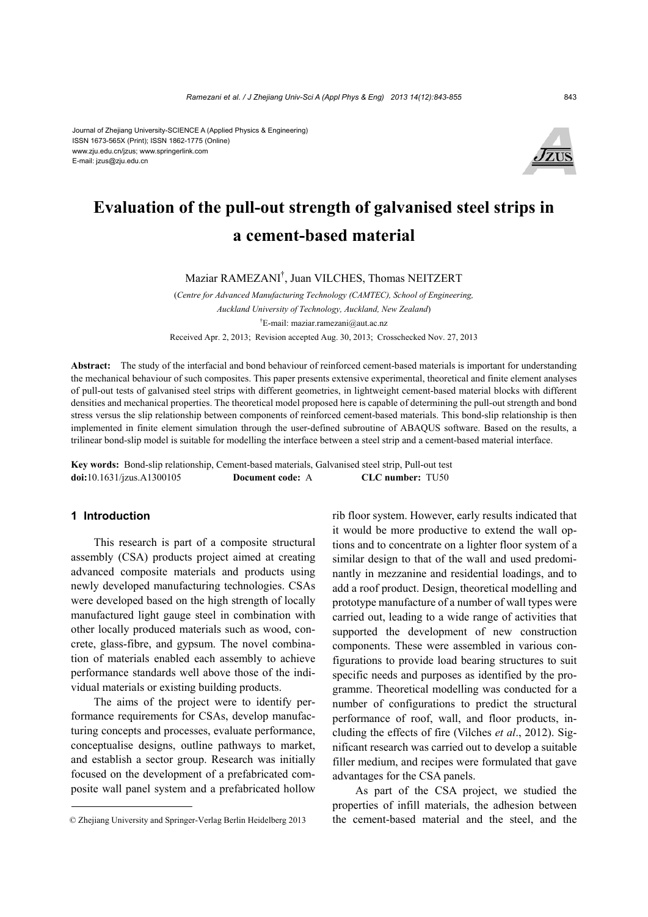#### Journal of Zhejiang University-SCIENCE A (Applied Physics & Engineering) ISSN 1673-565X (Print); ISSN 1862-1775 (Online) www.zju.edu.cn/jzus; www.springerlink.com E-mail: jzus@zju.edu.cn



# **Evaluation of the pull-out strength of galvanised steel strips in a cement-based material**

Maziar RAMEZANI† , Juan VILCHES, Thomas NEITZERT

(*Centre for Advanced Manufacturing Technology (CAMTEC), School of Engineering, Auckland University of Technology, Auckland, New Zealand*) † E-mail: maziar.ramezani@aut.ac.nz Received Apr. 2, 2013; Revision accepted Aug. 30, 2013; Crosschecked Nov. 27, 2013

**Abstract:** The study of the interfacial and bond behaviour of reinforced cement-based materials is important for understanding the mechanical behaviour of such composites. This paper presents extensive experimental, theoretical and finite element analyses of pull-out tests of galvanised steel strips with different geometries, in lightweight cement-based material blocks with different densities and mechanical properties. The theoretical model proposed here is capable of determining the pull-out strength and bond stress versus the slip relationship between components of reinforced cement-based materials. This bond-slip relationship is then implemented in finite element simulation through the user-defined subroutine of ABAQUS software. Based on the results, a trilinear bond-slip model is suitable for modelling the interface between a steel strip and a cement-based material interface.

**Key words:** Bond-slip relationship, Cement-based materials, Galvanised steel strip, Pull-out test **doi:**10.1631/jzus.A1300105 **Document code:** A **CLC number:** TU50

### **1 Introduction**

This research is part of a composite structural assembly (CSA) products project aimed at creating advanced composite materials and products using newly developed manufacturing technologies. CSAs were developed based on the high strength of locally manufactured light gauge steel in combination with other locally produced materials such as wood, concrete, glass-fibre, and gypsum. The novel combination of materials enabled each assembly to achieve performance standards well above those of the individual materials or existing building products.

The aims of the project were to identify performance requirements for CSAs, develop manufacturing concepts and processes, evaluate performance, conceptualise designs, outline pathways to market, and establish a sector group. Research was initially focused on the development of a prefabricated composite wall panel system and a prefabricated hollow rib floor system. However, early results indicated that it would be more productive to extend the wall options and to concentrate on a lighter floor system of a similar design to that of the wall and used predominantly in mezzanine and residential loadings, and to add a roof product. Design, theoretical modelling and prototype manufacture of a number of wall types were carried out, leading to a wide range of activities that supported the development of new construction components. These were assembled in various configurations to provide load bearing structures to suit specific needs and purposes as identified by the programme. Theoretical modelling was conducted for a number of configurations to predict the structural performance of roof, wall, and floor products, including the effects of fire (Vilches *et al*., 2012). Significant research was carried out to develop a suitable filler medium, and recipes were formulated that gave advantages for the CSA panels.

As part of the CSA project, we studied the properties of infill materials, the adhesion between the cement-based material and the steel, and the

<sup>©</sup> Zhejiang University and Springer-Verlag Berlin Heidelberg 2013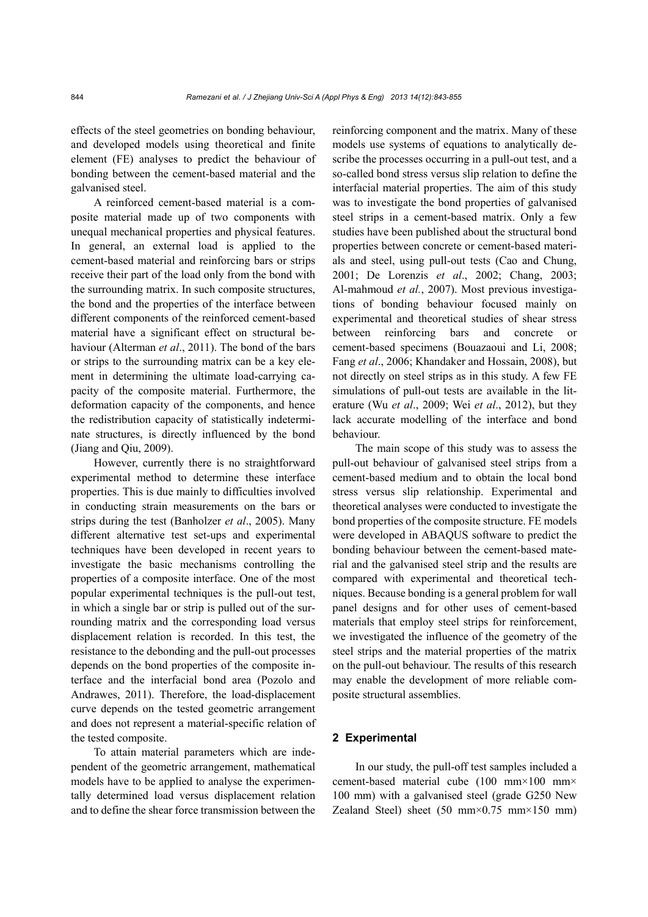effects of the steel geometries on bonding behaviour, and developed models using theoretical and finite element (FE) analyses to predict the behaviour of bonding between the cement-based material and the galvanised steel.

A reinforced cement-based material is a composite material made up of two components with unequal mechanical properties and physical features. In general, an external load is applied to the cement-based material and reinforcing bars or strips receive their part of the load only from the bond with the surrounding matrix. In such composite structures, the bond and the properties of the interface between different components of the reinforced cement-based material have a significant effect on structural behaviour (Alterman *et al*., 2011). The bond of the bars or strips to the surrounding matrix can be a key element in determining the ultimate load-carrying capacity of the composite material. Furthermore, the deformation capacity of the components, and hence the redistribution capacity of statistically indeterminate structures, is directly influenced by the bond (Jiang and Qiu, 2009).

However, currently there is no straightforward experimental method to determine these interface properties. This is due mainly to difficulties involved in conducting strain measurements on the bars or strips during the test (Banholzer *et al*., 2005). Many different alternative test set-ups and experimental techniques have been developed in recent years to investigate the basic mechanisms controlling the properties of a composite interface. One of the most popular experimental techniques is the pull-out test, in which a single bar or strip is pulled out of the surrounding matrix and the corresponding load versus displacement relation is recorded. In this test, the resistance to the debonding and the pull-out processes depends on the bond properties of the composite interface and the interfacial bond area (Pozolo and Andrawes, 2011). Therefore, the load-displacement curve depends on the tested geometric arrangement and does not represent a material-specific relation of the tested composite.

To attain material parameters which are independent of the geometric arrangement, mathematical models have to be applied to analyse the experimentally determined load versus displacement relation and to define the shear force transmission between the reinforcing component and the matrix. Many of these models use systems of equations to analytically describe the processes occurring in a pull-out test, and a so-called bond stress versus slip relation to define the interfacial material properties. The aim of this study was to investigate the bond properties of galvanised steel strips in a cement-based matrix. Only a few studies have been published about the structural bond properties between concrete or cement-based materials and steel, using pull-out tests (Cao and Chung, 2001; De Lorenzis *et al*., 2002; Chang, 2003; Al-mahmoud *et al.*, 2007). Most previous investigations of bonding behaviour focused mainly on experimental and theoretical studies of shear stress between reinforcing bars and concrete cement-based specimens (Bouazaoui and Li, 2008; Fang *et al*., 2006; Khandaker and Hossain, 2008), but not directly on steel strips as in this study. A few FE simulations of pull-out tests are available in the literature (Wu *et al*., 2009; Wei *et al*., 2012), but they lack accurate modelling of the interface and bond behaviour.

The main scope of this study was to assess the pull-out behaviour of galvanised steel strips from a cement-based medium and to obtain the local bond stress versus slip relationship. Experimental and theoretical analyses were conducted to investigate the bond properties of the composite structure. FE models were developed in ABAQUS software to predict the bonding behaviour between the cement-based material and the galvanised steel strip and the results are compared with experimental and theoretical techniques. Because bonding is a general problem for wall panel designs and for other uses of cement-based materials that employ steel strips for reinforcement, we investigated the influence of the geometry of the steel strips and the material properties of the matrix on the pull-out behaviour. The results of this research may enable the development of more reliable composite structural assemblies.

### **2 Experimental**

In our study, the pull-off test samples included a cement-based material cube (100 mm×100 mm× 100 mm) with a galvanised steel (grade G250 New Zealand Steel) sheet (50 mm×0.75 mm×150 mm)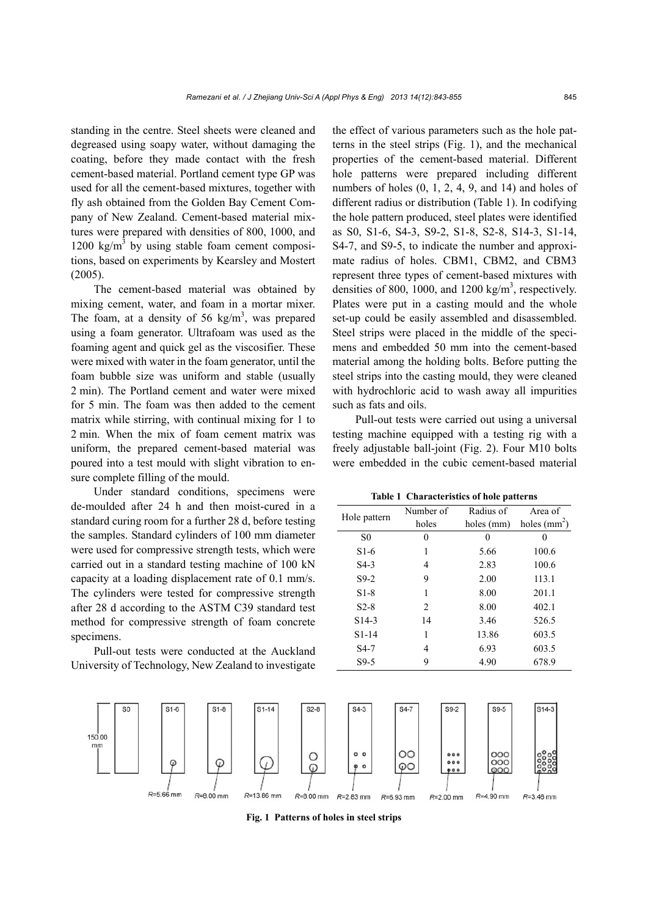standing in the centre. Steel sheets were cleaned and degreased using soapy water, without damaging the coating, before they made contact with the fresh cement-based material. Portland cement type GP was used for all the cement-based mixtures, together with fly ash obtained from the Golden Bay Cement Company of New Zealand. Cement-based material mixtures were prepared with densities of 800, 1000, and  $1200 \text{ kg/m}^3$  by using stable foam cement compositions, based on experiments by Kearsley and Mostert (2005).

The cement-based material was obtained by mixing cement, water, and foam in a mortar mixer. The foam, at a density of 56 kg/m<sup>3</sup>, was prepared using a foam generator. Ultrafoam was used as the foaming agent and quick gel as the viscosifier. These were mixed with water in the foam generator, until the foam bubble size was uniform and stable (usually 2 min). The Portland cement and water were mixed for 5 min. The foam was then added to the cement matrix while stirring, with continual mixing for 1 to 2 min. When the mix of foam cement matrix was uniform, the prepared cement-based material was poured into a test mould with slight vibration to ensure complete filling of the mould.

Under standard conditions, specimens were de-moulded after 24 h and then moist-cured in a standard curing room for a further 28 d, before testing the samples. Standard cylinders of 100 mm diameter were used for compressive strength tests, which were carried out in a standard testing machine of 100 kN capacity at a loading displacement rate of 0.1 mm/s. The cylinders were tested for compressive strength after 28 d according to the ASTM C39 standard test method for compressive strength of foam concrete specimens.

Pull-out tests were conducted at the Auckland University of Technology, New Zealand to investigate

the effect of various parameters such as the hole patterns in the steel strips (Fig. 1), and the mechanical properties of the cement-based material. Different hole patterns were prepared including different numbers of holes (0, 1, 2, 4, 9, and 14) and holes of different radius or distribution (Table 1). In codifying the hole pattern produced, steel plates were identified as S0, S1-6, S4-3, S9-2, S1-8, S2-8, S14-3, S1-14, S4-7, and S9-5, to indicate the number and approximate radius of holes. CBM1, CBM2, and CBM3 represent three types of cement-based mixtures with densities of 800, 1000, and 1200 kg/m<sup>3</sup>, respectively. Plates were put in a casting mould and the whole set-up could be easily assembled and disassembled. Steel strips were placed in the middle of the specimens and embedded 50 mm into the cement-based material among the holding bolts. Before putting the steel strips into the casting mould, they were cleaned with hydrochloric acid to wash away all impurities such as fats and oils.

Pull-out tests were carried out using a universal testing machine equipped with a testing rig with a freely adjustable ball-joint (Fig. 2). Four M10 bolts were embedded in the cubic cement-based material

**Table 1 Characteristics of hole patterns** 

| Hole pattern       | Number of | Radius of  | Area of        |
|--------------------|-----------|------------|----------------|
|                    | holes     | holes (mm) | holes $(mm^2)$ |
| S <sub>0</sub>     | 0         |            |                |
| $S1-6$             |           | 5.66       | 100.6          |
| $S4-3$             | 4         | 2.83       | 100.6          |
| $S9-2$             | 9         | 2.00       | 113.1          |
| $S1-8$             | 1         | 8.00       | 201.1          |
| $S2-8$             | 2         | 8.00       | 402.1          |
| S <sub>14</sub> -3 | 14        | 3.46       | 526.5          |
| $S1-14$            | 1         | 13.86      | 603.5          |
| $S4-7$             | 4         | 6.93       | 603.5          |
| $S9-5$             | 9         | 4.90       | 678.9          |
|                    |           |            |                |



**Fig. 1 Patterns of holes in steel strips**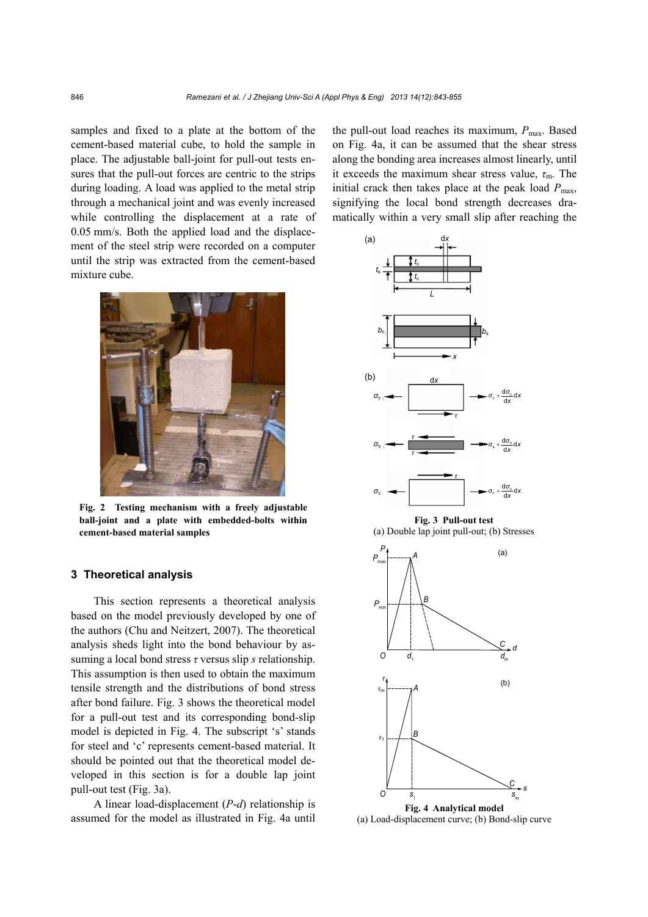samples and fixed to a plate at the bottom of the cement-based material cube, to hold the sample in place. The adjustable ball-joint for pull-out tests ensures that the pull-out forces are centric to the strips during loading. A load was applied to the metal strip through a mechanical joint and was evenly increased while controlling the displacement at a rate of 0.05 mm/s. Both the applied load and the displacement of the steel strip were recorded on a computer until the strip was extracted from the cement-based mixture cube.



**Fig. 2 Testing mechanism with a freely adjustable ball-joint and a plate with embedded-bolts within cement-based material samples** 

#### **3 Theoretical analysis**

This section represents a theoretical analysis based on the model previously developed by one of the authors (Chu and Neitzert, 2007). The theoretical analysis sheds light into the bond behaviour by assuming a local bond stress *τ* versus slip *s* relationship. This assumption is then used to obtain the maximum tensile strength and the distributions of bond stress after bond failure. Fig. 3 shows the theoretical model for a pull-out test and its corresponding bond-slip model is depicted in Fig. 4. The subscript 's' stands for steel and 'c' represents cement-based material. It should be pointed out that the theoretical model developed in this section is for a double lap joint pull-out test (Fig. 3a).

A linear load-displacement (*P*-*d*) relationship is assumed for the model as illustrated in Fig. 4a until the pull-out load reaches its maximum,  $P_{\text{max}}$ . Based on Fig. 4a, it can be assumed that the shear stress along the bonding area increases almost linearly, until it exceeds the maximum shear stress value, *τ*m. The initial crack then takes place at the peak load  $P_{\text{max}}$ , signifying the local bond strength decreases dramatically within a very small slip after reaching the



(a) Load-displacement curve; (b) Bond-slip curve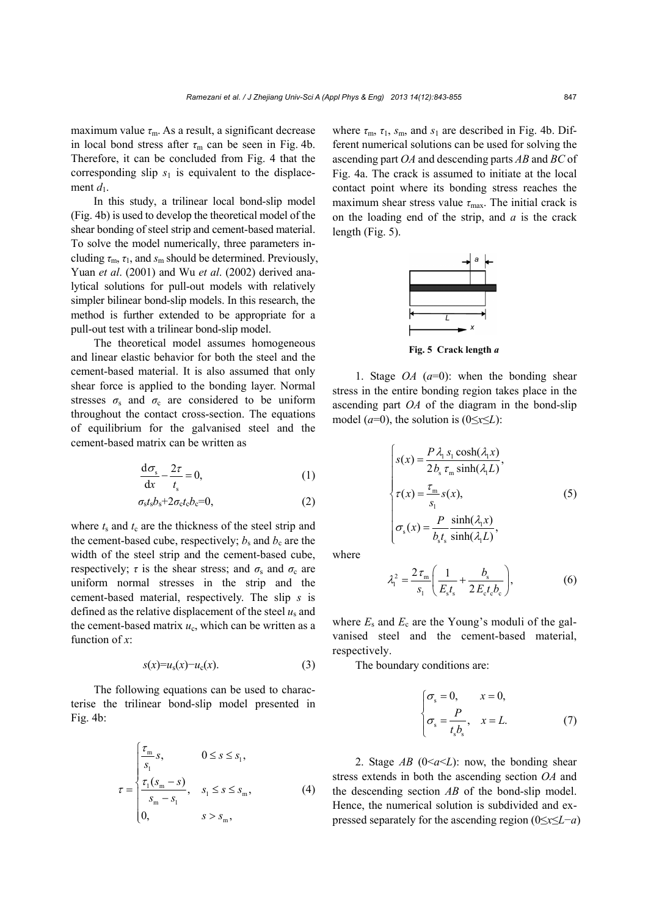maximum value  $\tau_{\rm m}$ . As a result, a significant decrease in local bond stress after  $\tau_m$  can be seen in Fig. 4b. Therefore, it can be concluded from Fig. 4 that the corresponding slip  $s_1$  is equivalent to the displacement  $d_1$ .

In this study, a trilinear local bond-slip model (Fig. 4b) is used to develop the theoretical model of the shear bonding of steel strip and cement-based material. To solve the model numerically, three parameters including *τ*m, *τ*1, and *s*m should be determined. Previously, Yuan *et al*. (2001) and Wu *et al*. (2002) derived analytical solutions for pull-out models with relatively simpler bilinear bond-slip models. In this research, the method is further extended to be appropriate for a pull-out test with a trilinear bond-slip model.

The theoretical model assumes homogeneous and linear elastic behavior for both the steel and the cement-based material. It is also assumed that only shear force is applied to the bonding layer. Normal stresses  $\sigma_s$  and  $\sigma_c$  are considered to be uniform throughout the contact cross-section. The equations of equilibrium for the galvanised steel and the cement-based matrix can be written as

$$
\frac{d\sigma_s}{dx} - \frac{2\tau}{t_s} = 0,\t\t(1)
$$

$$
\sigma_{\rm s}t_{\rm s}b_{\rm s}+2\sigma_{\rm c}t_{\rm c}b_{\rm c}=0,\tag{2}
$$

where  $t_s$  and  $t_c$  are the thickness of the steel strip and the cement-based cube, respectively;  $b_s$  and  $b_c$  are the width of the steel strip and the cement-based cube, respectively;  $\tau$  is the shear stress; and  $\sigma_s$  and  $\sigma_c$  are uniform normal stresses in the strip and the cement-based material, respectively. The slip *s* is defined as the relative displacement of the steel  $u_s$  and the cement-based matrix  $u_c$ , which can be written as a function of *x*:

$$
s(x)=u_{s}(x)-u_{c}(x).
$$
 (3)

The following equations can be used to characterise the trilinear bond-slip model presented in Fig. 4b:

$$
\tau = \begin{cases}\n\frac{\tau_{\text{m}}}{s_1}s, & 0 \le s \le s_1, \\
\frac{\tau_1(s_{\text{m}} - s)}{s_{\text{m}} - s_1}, & s_1 \le s \le s_{\text{m}}, \\
0, & s > s_{\text{m}},\n\end{cases}
$$
\n(4)

where  $\tau_{\rm m}$ ,  $\tau_{\rm 1}$ ,  $s_{\rm m}$ , and  $s_{\rm 1}$  are described in Fig. 4b. Different numerical solutions can be used for solving the ascending part *OA* and descending parts *AB* and *BC* of Fig. 4a. The crack is assumed to initiate at the local contact point where its bonding stress reaches the maximum shear stress value *τ*<sub>max</sub>. The initial crack is on the loading end of the strip, and *a* is the crack length (Fig. 5).



**Fig. 5 Crack length** *a*

1. Stage *OA* (*a*=0): when the bonding shear stress in the entire bonding region takes place in the ascending part *OA* of the diagram in the bond-slip model ( $a=0$ ), the solution is ( $0 \le x \le L$ ):

$$
s(x) = \frac{P\lambda_1 s_1 \cosh(\lambda_1 x)}{2b_s \tau_m \sinh(\lambda_1 L)},
$$
  
\n
$$
\tau(x) = \frac{\tau_m}{s_1} s(x),
$$
  
\n
$$
\sigma_s(x) = \frac{P \sinh(\lambda_1 x)}{b_s t_s \sinh(\lambda_1 L)},
$$
  
\n(5)

where

$$
\lambda_1^2 = \frac{2\,\tau_{\rm m}}{s_1} \bigg( \frac{1}{E_s t_s} + \frac{b_s}{2\,E_c t_c b_c} \bigg),\tag{6}
$$

where  $E_s$  and  $E_c$  are the Young's moduli of the galvanised steel and the cement-based material, respectively.

The boundary conditions are:

$$
\begin{cases}\n\sigma_s = 0, & x = 0, \\
\sigma_s = \frac{P}{t_s b_s}, & x = L.\n\end{cases}
$$
\n(7)

2. Stage  $AB$  ( $0 \le a \le L$ ): now, the bonding shear stress extends in both the ascending section *OA* and the descending section *AB* of the bond-slip model. Hence, the numerical solution is subdivided and expressed separately for the ascending region (0≤*x*≤*L*−*a*)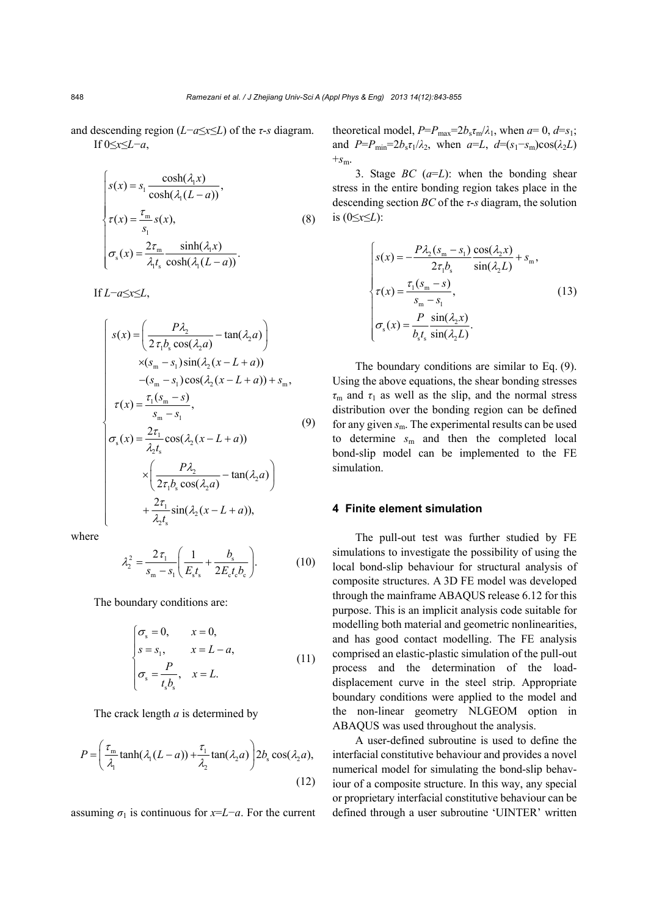and descending region (*L*−*a*≤*x*≤*L*) of the *τ*-*s* diagram. If 0≤*x*≤*L*−*a*,

$$
s(x) = s_1 \frac{\cosh(\lambda_1 x)}{\cosh(\lambda_1 (L - a))},
$$
  
\n
$$
\tau(x) = \frac{\tau_m}{s_1} s(x),
$$
  
\n
$$
\sigma_s(x) = \frac{2\tau_m}{\lambda_1 t_s} \frac{\sinh(\lambda_1 x)}{\cosh(\lambda_1 (L - a))}.
$$
\n(8)

If *L*−*a*≤*x*≤*L*,

$$
s(x) = \left(\frac{P\lambda_2}{2\tau_1 b_s \cos(\lambda_2 a)} - \tan(\lambda_2 a)\right)
$$
  
\n
$$
\times (s_m - s_1) \sin(\lambda_2 (x - L + a))
$$
  
\n
$$
-(s_m - s_1) \cos(\lambda_2 (x - L + a)) + s_m,
$$
  
\n
$$
\tau(x) = \frac{\tau_1 (s_m - s)}{s_m - s_1},
$$
  
\n
$$
\sigma_s(x) = \frac{2\tau_1}{\lambda_2 t_s} \cos(\lambda_2 (x - L + a))
$$
  
\n
$$
\times \left(\frac{P\lambda_2}{2\tau_1 b_s \cos(\lambda_2 a)} - \tan(\lambda_2 a)\right)
$$
  
\n
$$
+\frac{2\tau_1}{\lambda_2 t_s} \sin(\lambda_2 (x - L + a)),
$$
 (9)

where

$$
\lambda_2^2 = \frac{2\,\tau_1}{s_m - s_1} \left( \frac{1}{E_s t_s} + \frac{b_s}{2E_c t_c b_c} \right). \tag{10}
$$

The boundary conditions are:

$$
\begin{cases}\n\sigma_s = 0, & x = 0, \\
s = s_1, & x = L - a, \\
\sigma_s = \frac{P}{t_s b_s}, & x = L.\n\end{cases}
$$
\n(11)

The crack length *a* is determined by

$$
P = \left(\frac{\tau_{\rm m}}{\lambda_1} \tanh(\lambda_1 (L - a)) + \frac{\tau_1}{\lambda_2} \tan(\lambda_2 a)\right) 2b_{\rm s} \cos(\lambda_2 a),\tag{12}
$$

assuming  $\sigma_1$  is continuous for *x*=*L*−*a*. For the current

theoretical model,  $P = P_{\text{max}} = 2b_s \tau_{\text{m}}/\lambda_1$ , when  $a = 0$ ,  $d = s_1$ ; and  $P=P_{\text{min}}=2b_s\tau_1/\lambda_2$ , when  $a=L$ ,  $d=(s_1-s_m)\cos(\lambda_2 L)$  $+s_m$ .

3. Stage *BC* (*a*=*L*): when the bonding shear stress in the entire bonding region takes place in the descending section *BC* of the *τ*-*s* diagram, the solution is (0≤*x*≤*L*):

$$
\begin{cases}\ns(x) = -\frac{P\lambda_2(s_m - s_1)}{2\tau_1 b_s} \frac{\cos(\lambda_2 x)}{\sin(\lambda_2 L)} + s_m, \\
\tau(x) = \frac{\tau_1(s_m - s)}{s_m - s_1}, \\
\sigma_s(x) = \frac{P}{b_s t_s} \frac{\sin(\lambda_2 x)}{\sin(\lambda_2 L)}.\n\end{cases}
$$
\n(13)

The boundary conditions are similar to Eq. (9). Using the above equations, the shear bonding stresses  $\tau_{\rm m}$  and  $\tau_1$  as well as the slip, and the normal stress distribution over the bonding region can be defined for any given *s*m. The experimental results can be used to determine *s*m and then the completed local bond-slip model can be implemented to the FE simulation.

## **4 Finite element simulation**

The pull-out test was further studied by FE simulations to investigate the possibility of using the local bond-slip behaviour for structural analysis of composite structures. A 3D FE model was developed through the mainframe ABAQUS release 6.12 for this purpose. This is an implicit analysis code suitable for modelling both material and geometric nonlinearities, and has good contact modelling. The FE analysis comprised an elastic-plastic simulation of the pull-out process and the determination of the loaddisplacement curve in the steel strip. Appropriate boundary conditions were applied to the model and the non-linear geometry NLGEOM option in ABAQUS was used throughout the analysis.

A user-defined subroutine is used to define the interfacial constitutive behaviour and provides a novel numerical model for simulating the bond-slip behaviour of a composite structure. In this way, any special or proprietary interfacial constitutive behaviour can be defined through a user subroutine 'UINTER' written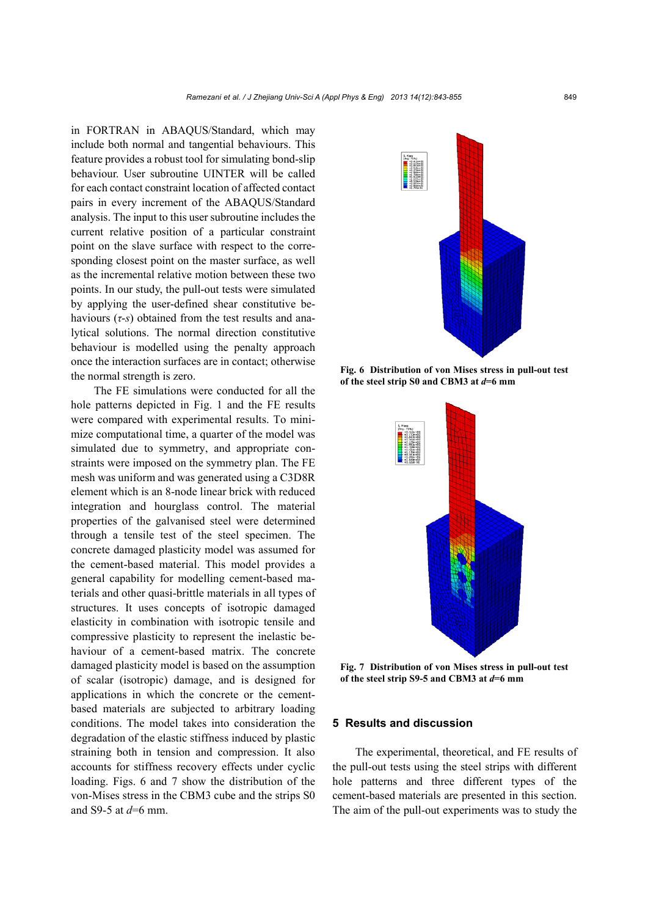in FORTRAN in ABAQUS/Standard, which may include both normal and tangential behaviours. This feature provides a robust tool for simulating bond-slip behaviour. User subroutine UINTER will be called for each contact constraint location of affected contact pairs in every increment of the ABAQUS/Standard analysis. The input to this user subroutine includes the current relative position of a particular constraint point on the slave surface with respect to the corresponding closest point on the master surface, as well as the incremental relative motion between these two points. In our study, the pull-out tests were simulated by applying the user-defined shear constitutive behaviours (*τ*-*s*) obtained from the test results and analytical solutions. The normal direction constitutive behaviour is modelled using the penalty approach once the interaction surfaces are in contact; otherwise the normal strength is zero.

The FE simulations were conducted for all the hole patterns depicted in Fig. 1 and the FE results were compared with experimental results. To minimize computational time, a quarter of the model was simulated due to symmetry, and appropriate constraints were imposed on the symmetry plan. The FE mesh was uniform and was generated using a C3D8R element which is an 8-node linear brick with reduced integration and hourglass control. The material properties of the galvanised steel were determined through a tensile test of the steel specimen. The concrete damaged plasticity model was assumed for the cement-based material. This model provides a general capability for modelling cement-based materials and other quasi-brittle materials in all types of structures. It uses concepts of isotropic damaged elasticity in combination with isotropic tensile and compressive plasticity to represent the inelastic behaviour of a cement-based matrix. The concrete damaged plasticity model is based on the assumption of scalar (isotropic) damage, and is designed for applications in which the concrete or the cementbased materials are subjected to arbitrary loading conditions. The model takes into consideration the degradation of the elastic stiffness induced by plastic straining both in tension and compression. It also accounts for stiffness recovery effects under cyclic loading. Figs. 6 and 7 show the distribution of the von-Mises stress in the CBM3 cube and the strips S0 and S9-5 at *d*=6 mm.



**Fig. 6 Distribution of von Mises stress in pull-out test of the steel strip S0 and CBM3 at** *d***=6 mm** 



**Fig. 7 Distribution of von Mises stress in pull-out test of the steel strip S9-5 and CBM3 at** *d***=6 mm**

### **5 Results and discussion**

The experimental, theoretical, and FE results of the pull-out tests using the steel strips with different hole patterns and three different types of the cement-based materials are presented in this section. The aim of the pull-out experiments was to study the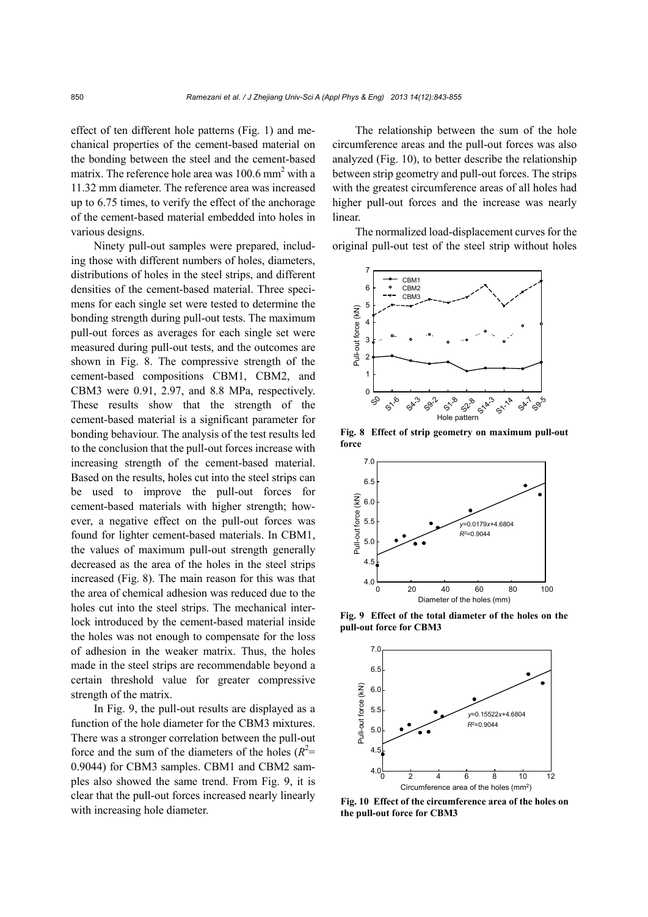effect of ten different hole patterns (Fig. 1) and mechanical properties of the cement-based material on the bonding between the steel and the cement-based matrix. The reference hole area was  $100.6$  mm<sup>2</sup> with a 11.32 mm diameter. The reference area was increased up to 6.75 times, to verify the effect of the anchorage of the cement-based material embedded into holes in various designs.

Ninety pull-out samples were prepared, including those with different numbers of holes, diameters, distributions of holes in the steel strips, and different densities of the cement-based material. Three specimens for each single set were tested to determine the bonding strength during pull-out tests. The maximum pull-out forces as averages for each single set were measured during pull-out tests, and the outcomes are shown in Fig. 8. The compressive strength of the cement-based compositions CBM1, CBM2, and CBM3 were 0.91, 2.97, and 8.8 MPa, respectively. These results show that the strength of the cement-based material is a significant parameter for bonding behaviour. The analysis of the test results led to the conclusion that the pull-out forces increase with increasing strength of the cement-based material. Based on the results, holes cut into the steel strips can be used to improve the pull-out forces for cement-based materials with higher strength; however, a negative effect on the pull-out forces was found for lighter cement-based materials. In CBM1, the values of maximum pull-out strength generally decreased as the area of the holes in the steel strips increased (Fig. 8). The main reason for this was that the area of chemical adhesion was reduced due to the holes cut into the steel strips. The mechanical interlock introduced by the cement-based material inside the holes was not enough to compensate for the loss of adhesion in the weaker matrix. Thus, the holes made in the steel strips are recommendable beyond a certain threshold value for greater compressive strength of the matrix.

In Fig. 9, the pull-out results are displayed as a function of the hole diameter for the CBM3 mixtures. There was a stronger correlation between the pull-out force and the sum of the diameters of the holes  $(R^2=$ 0.9044) for CBM3 samples. CBM1 and CBM2 samples also showed the same trend. From Fig. 9, it is clear that the pull-out forces increased nearly linearly with increasing hole diameter.

The relationship between the sum of the hole circumference areas and the pull-out forces was also analyzed (Fig. 10), to better describe the relationship between strip geometry and pull-out forces. The strips with the greatest circumference areas of all holes had higher pull-out forces and the increase was nearly linear.

The normalized load-displacement curves for the original pull-out test of the steel strip without holes



**Fig. 8 Effect of strip geometry on maximum pull-out force** 



**Fig. 9 Effect of the total diameter of the holes on the pull-out force for CBM3** 



**Fig. 10 Effect of the circumference area of the holes on the pull-out force for CBM3**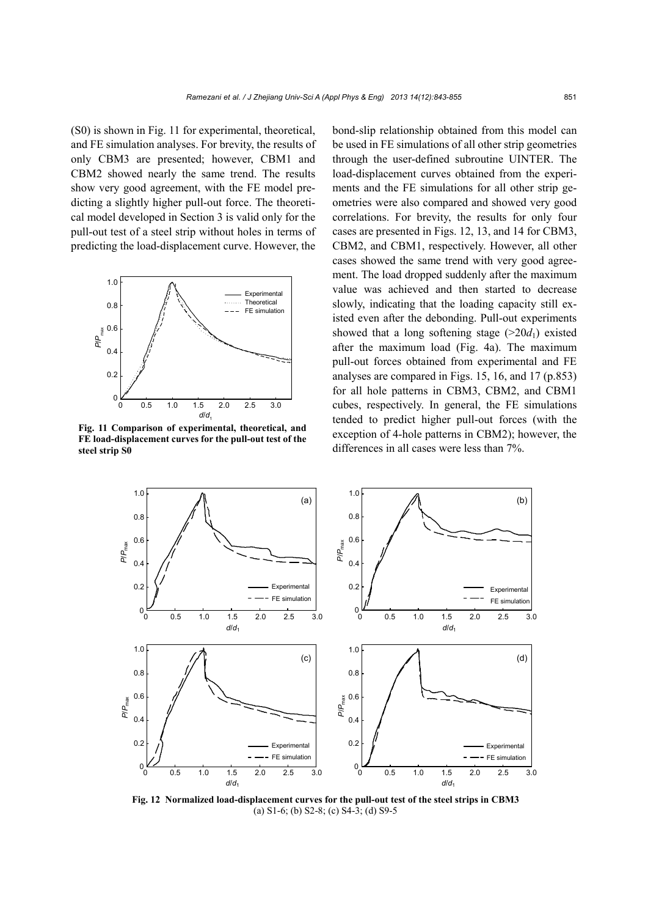(S0) is shown in Fig. 11 for experimental, theoretical, and FE simulation analyses. For brevity, the results of only CBM3 are presented; however, CBM1 and CBM2 showed nearly the same trend. The results show very good agreement, with the FE model predicting a slightly higher pull-out force. The theoretical model developed in Section 3 is valid only for the pull-out test of a steel strip without holes in terms of predicting the load-displacement curve. However, the



**Fig. 11 Comparison of experimental, theoretical, and FE load-displacement curves for the pull-out test of the steel strip S0** 

bond-slip relationship obtained from this model can be used in FE simulations of all other strip geometries through the user-defined subroutine UINTER. The load-displacement curves obtained from the experiments and the FE simulations for all other strip geometries were also compared and showed very good correlations. For brevity, the results for only four cases are presented in Figs. 12, 13, and 14 for CBM3, CBM2, and CBM1, respectively. However, all other cases showed the same trend with very good agreement. The load dropped suddenly after the maximum value was achieved and then started to decrease slowly, indicating that the loading capacity still existed even after the debonding. Pull-out experiments showed that a long softening stage  $(>20d_1)$  existed after the maximum load (Fig. 4a). The maximum pull-out forces obtained from experimental and FE analyses are compared in Figs. 15, 16, and 17 (p.853) for all hole patterns in CBM3, CBM2, and CBM1 cubes, respectively. In general, the FE simulations tended to predict higher pull-out forces (with the exception of 4-hole patterns in CBM2); however, the differences in all cases were less than 7%.



**Fig. 12 Normalized load-displacement curves for the pull-out test of the steel strips in CBM3**  (a) S1-6; (b) S2-8; (c) S4-3; (d) S9-5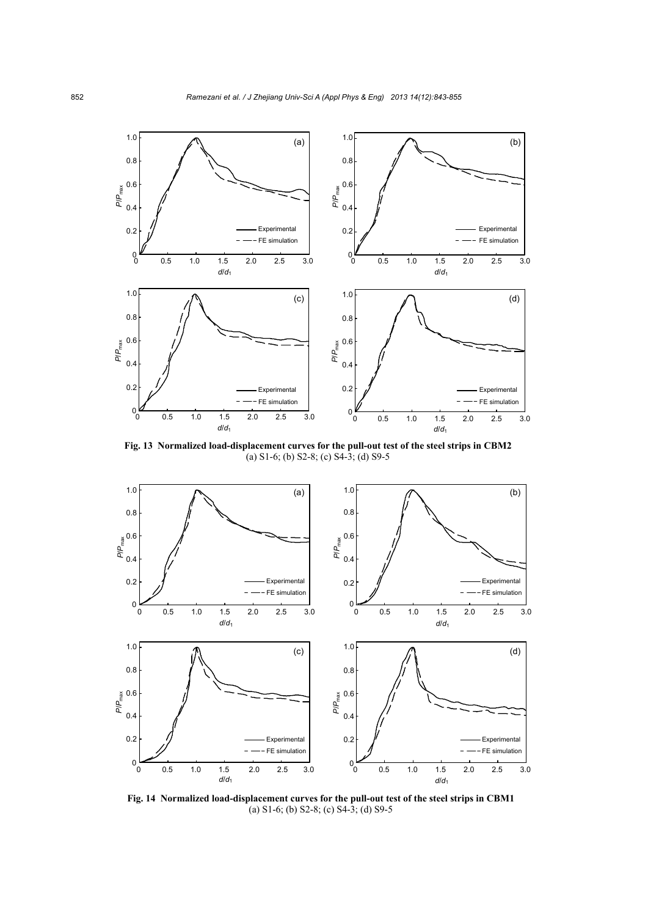

**Fig. 13 Normalized load-displacement curves for the pull-out test of the steel strips in CBM2**  (a) S1-6; (b) S2-8; (c) S4-3; (d) S9-5



**Fig. 14 Normalized load-displacement curves for the pull-out test of the steel strips in CBM1**  (a) S1-6; (b) S2-8; (c) S4-3; (d) S9-5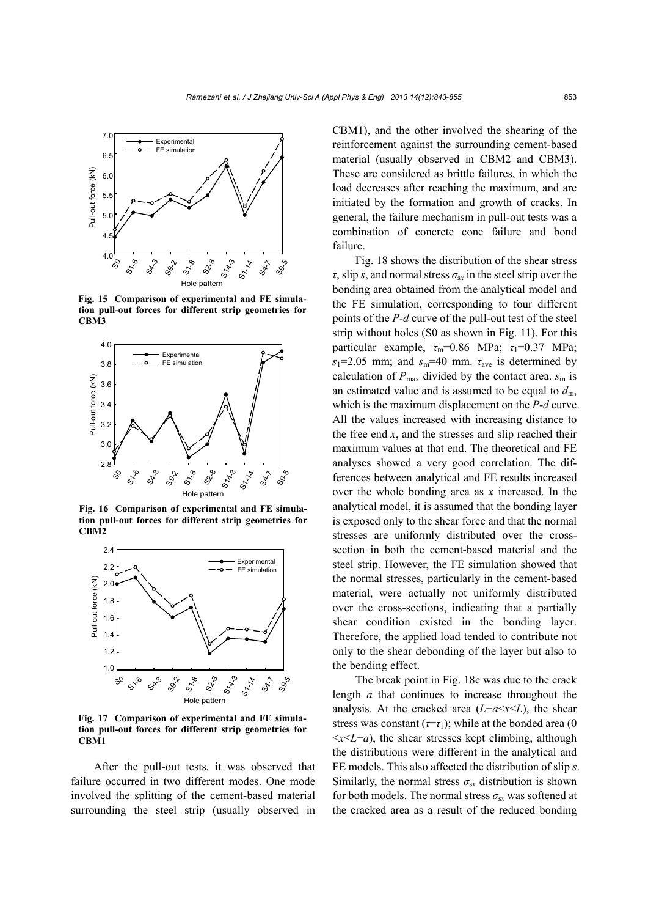

**Fig. 15 Comparison of experimental and FE simulation pull-out forces for different strip geometries for** 



**Fig. 16 Comparison of experimental and FE simulation pull-out forces for different strip geometries for**   $CBM2$ 



**Fig. 17 Comparison of experimental and FE simulation pull-out forces for different strip geometries for**   $CBM1$ 

After the pull-out tests, it was observed that failure occurred in two different modes. One mode involved the splitting of the cement-based material surrounding the steel strip (usually observed in CBM1), and the other involved the shearing of the reinforcement against the surrounding cement-based material (usually observed in CBM2 and CBM3). These are considered as brittle failures, in which the load decreases after reaching the maximum, and are initiated by the formation and growth of cracks. In general, the failure mechanism in pull-out tests was a combination of concrete cone failure and bond failure.

Fig. 18 shows the distribution of the shear stress  $\tau$ , slip *s*, and normal stress  $\sigma_{sx}$  in the steel strip over the bonding area obtained from the analytical model and the FE simulation, corresponding to four different points of the *P*-*d* curve of the pull-out test of the steel strip without holes (S0 as shown in Fig. 11). For this particular example,  $\tau_m$ =0.86 MPa;  $\tau_1$ =0.37 MPa;  $s_1$ =2.05 mm; and  $s_m$ =40 mm.  $\tau_{ave}$  is determined by calculation of  $P_{\text{max}}$  divided by the contact area.  $s_m$  is an estimated value and is assumed to be equal to  $d<sub>m</sub>$ , which is the maximum displacement on the *P*-*d* curve. All the values increased with increasing distance to the free end  $x$ , and the stresses and slip reached their maximum values at that end. The theoretical and FE analyses showed a very good correlation. The differences between analytical and FE results increased over the whole bonding area as *x* increased. In the analytical model, it is assumed that the bonding layer is exposed only to the shear force and that the normal stresses are uniformly distributed over the crosssection in both the cement-based material and the steel strip. However, the FE simulation showed that the normal stresses, particularly in the cement-based material, were actually not uniformly distributed over the cross-sections, indicating that a partially shear condition existed in the bonding layer. Therefore, the applied load tended to contribute not only to the shear debonding of the layer but also to the bending effect.

The break point in Fig. 18c was due to the crack length *a* that continues to increase throughout the analysis. At the cracked area  $(L-a \le x \le L)$ , the shear stress was constant  $(\tau = \tau_1)$ ; while at the bonded area (0)  $\langle x \rangle$   $\langle L - a \rangle$ , the shear stresses kept climbing, although the distributions were different in the analytical and FE models. This also affected the distribution of slip *s*. Similarly, the normal stress  $\sigma_{sx}$  distribution is shown for both models. The normal stress  $\sigma_{sx}$  was softened at the cracked area as a result of the reduced bonding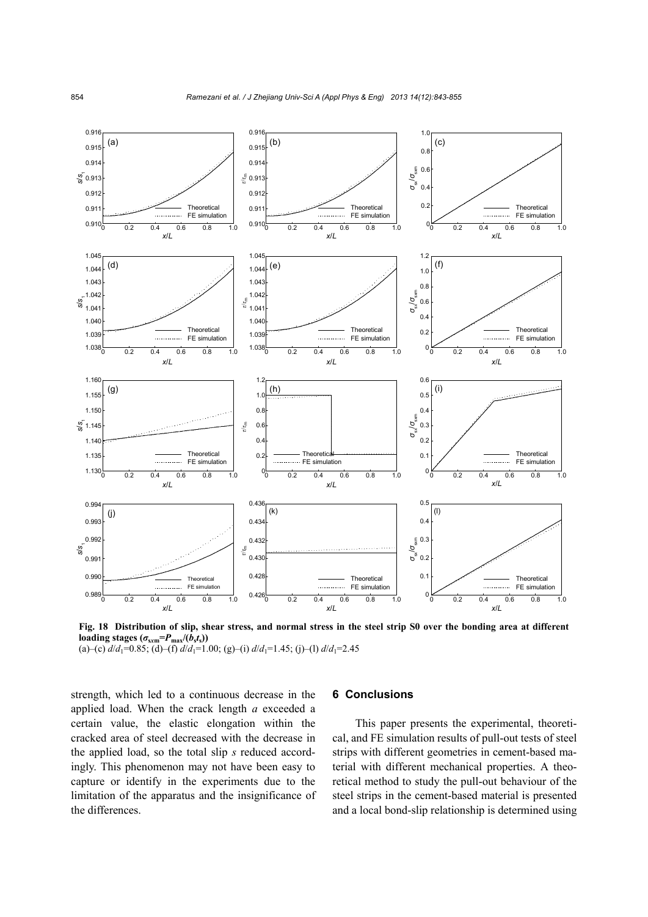

**Fig. 18 Distribution of slip, shear stress, and normal stress in the steel strip S0 over the bonding area at different**  loading stages  $(\sigma_{\text{sym}}=P_{\text{max}}/(b_{s}t_{s}))$ 

(a)–(c)  $d/d_1 = 0.85$ ; (d)–(f)  $d/d_1 = 1.00$ ; (g)–(i)  $d/d_1 = 1.45$ ; (j)–(l)  $d/d_1 = 2.45$ 

strength, which led to a continuous decrease in the applied load. When the crack length *a* exceeded a certain value, the elastic elongation within the cracked area of steel decreased with the decrease in the applied load, so the total slip *s* reduced accordingly. This phenomenon may not have been easy to capture or identify in the experiments due to the limitation of the apparatus and the insignificance of the differences.

#### **6 Conclusions**

This paper presents the experimental, theoretical, and FE simulation results of pull-out tests of steel strips with different geometries in cement-based material with different mechanical properties. A theoretical method to study the pull-out behaviour of the steel strips in the cement-based material is presented and a local bond-slip relationship is determined using